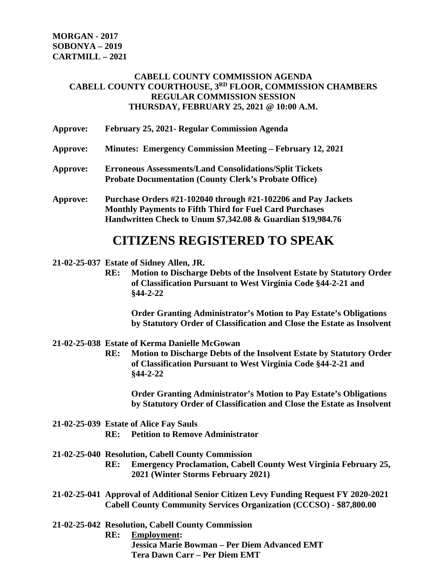**MORGAN - 2017 SOBONYA – 2019 CARTMILL – 2021**

## **CABELL COUNTY COMMISSION AGENDA CABELL COUNTY COURTHOUSE, 3RD FLOOR, COMMISSION CHAMBERS REGULAR COMMISSION SESSION THURSDAY, FEBRUARY 25, 2021 @ 10:00 A.M.**

- **Approve: February 25, 2021- Regular Commission Agenda**
- **Approve: Minutes: Emergency Commission Meeting – February 12, 2021**
- **Approve: Erroneous Assessments/Land Consolidations/Split Tickets Probate Documentation (County Clerk's Probate Office)**
- **Approve: Purchase Orders #21-102040 through #21-102206 and Pay Jackets Monthly Payments to Fifth Third for Fuel Card Purchases Handwritten Check to Unum \$7,342.08 & Guardian \$19,984.76**

## **CITIZENS REGISTERED TO SPEAK**

- **21-02-25-037 Estate of Sidney Allen, JR.**
	- **RE: Motion to Discharge Debts of the Insolvent Estate by Statutory Order of Classification Pursuant to West Virginia Code §44-2-21 and §44-2-22**

**Order Granting Administrator's Motion to Pay Estate's Obligations by Statutory Order of Classification and Close the Estate as Insolvent**

- **21-02-25-038 Estate of Kerma Danielle McGowan**
	- **RE: Motion to Discharge Debts of the Insolvent Estate by Statutory Order of Classification Pursuant to West Virginia Code §44-2-21 and §44-2-22**

**Order Granting Administrator's Motion to Pay Estate's Obligations by Statutory Order of Classification and Close the Estate as Insolvent**

- **21-02-25-039 Estate of Alice Fay Sauls**
	- **RE: Petition to Remove Administrator**
- **21-02-25-040 Resolution, Cabell County Commission**
	- **RE: Emergency Proclamation, Cabell County West Virginia February 25, 2021 (Winter Storms February 2021)**
- **21-02-25-041 Approval of Additional Senior Citizen Levy Funding Request FY 2020-2021 Cabell County Community Services Organization (CCCSO) - \$87,800.00**
- **21-02-25-042 Resolution, Cabell County Commission**
	- **RE: Employment: Jessica Marie Bowman – Per Diem Advanced EMT Tera Dawn Carr – Per Diem EMT**